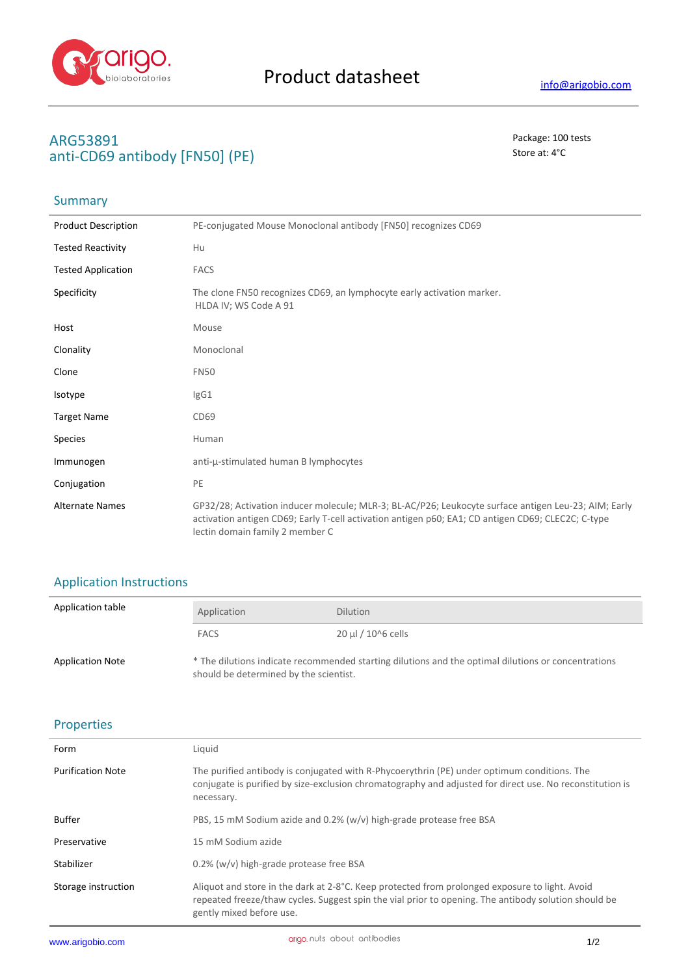

# **ARG53891** Package: 100 tests anti-CD69 antibody [FN50] (PE) Store at: 4<sup>°</sup>C

#### **Summary**

| <b>Product Description</b> | PE-conjugated Mouse Monoclonal antibody [FN50] recognizes CD69                                                                                                                                                                                |
|----------------------------|-----------------------------------------------------------------------------------------------------------------------------------------------------------------------------------------------------------------------------------------------|
| <b>Tested Reactivity</b>   | Hu                                                                                                                                                                                                                                            |
| <b>Tested Application</b>  | <b>FACS</b>                                                                                                                                                                                                                                   |
| Specificity                | The clone FN50 recognizes CD69, an lymphocyte early activation marker.<br>HLDA IV; WS Code A 91                                                                                                                                               |
| Host                       | Mouse                                                                                                                                                                                                                                         |
| Clonality                  | Monoclonal                                                                                                                                                                                                                                    |
| Clone                      | <b>FN50</b>                                                                                                                                                                                                                                   |
| Isotype                    | lgG1                                                                                                                                                                                                                                          |
| <b>Target Name</b>         | CD69                                                                                                                                                                                                                                          |
| <b>Species</b>             | Human                                                                                                                                                                                                                                         |
| Immunogen                  | anti-µ-stimulated human B lymphocytes                                                                                                                                                                                                         |
| Conjugation                | PE                                                                                                                                                                                                                                            |
| <b>Alternate Names</b>     | GP32/28; Activation inducer molecule; MLR-3; BL-AC/P26; Leukocyte surface antigen Leu-23; AIM; Early<br>activation antigen CD69; Early T-cell activation antigen p60; EA1; CD antigen CD69; CLEC2C; C-type<br>lectin domain family 2 member C |

# Application Instructions

| Application table       | Application                                                                                                                                   | <b>Dilution</b>         |
|-------------------------|-----------------------------------------------------------------------------------------------------------------------------------------------|-------------------------|
|                         | <b>FACS</b>                                                                                                                                   | $20 \mu$ I / 10^6 cells |
| <b>Application Note</b> | * The dilutions indicate recommended starting dilutions and the optimal dilutions or concentrations<br>should be determined by the scientist. |                         |

# Properties

| Form                     | Liquid                                                                                                                                                                                                                             |
|--------------------------|------------------------------------------------------------------------------------------------------------------------------------------------------------------------------------------------------------------------------------|
| <b>Purification Note</b> | The purified antibody is conjugated with R-Phycoerythrin (PE) under optimum conditions. The<br>conjugate is purified by size-exclusion chromatography and adjusted for direct use. No reconstitution is<br>necessary.              |
| <b>Buffer</b>            | PBS, 15 mM Sodium azide and 0.2% (w/v) high-grade protease free BSA                                                                                                                                                                |
| Preservative             | 15 mM Sodium azide                                                                                                                                                                                                                 |
| Stabilizer               | $0.2\%$ (w/v) high-grade protease free BSA                                                                                                                                                                                         |
| Storage instruction      | Aliquot and store in the dark at 2-8°C. Keep protected from prolonged exposure to light. Avoid<br>repeated freeze/thaw cycles. Suggest spin the vial prior to opening. The antibody solution should be<br>gently mixed before use. |